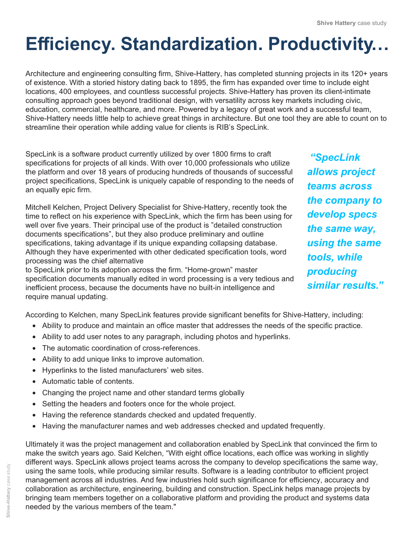## **Efficiency. Standardization. Productivity…**

Architecture and engineering consulting firm, Shive-Hattery, has completed stunning projects in its 120+ years of existence. With a storied history dating back to 1895, the firm has expanded over time to include eight locations, 400 employees, and countless successful projects. Shive-Hattery has proven its client-intimate consulting approach goes beyond traditional design, with versatility across key markets including civic, education, commercial, healthcare, and more. Powered by a legacy of great work and a successful team, Shive-Hattery needs little help to achieve great things in architecture. But one tool they are able to count on to streamline their operation while adding value for clients is RIB's SpecLink.

SpecLink is a software product currently utilized by over 1800 firms to craft specifications for projects of all kinds. With over 10,000 professionals who utilize the platform and over 18 years of producing hundreds of thousands of successful project specifications, SpecLink is uniquely capable of responding to the needs of an equally epic firm.

Mitchell Kelchen, Project Delivery Specialist for Shive-Hattery, recently took the time to reflect on his experience with SpecLink, which the firm has been using for well over five years. Their principal use of the product is "detailed construction documents specifications", but they also produce preliminary and outline specifications, taking advantage if its unique expanding collapsing database. Although they have experimented with other dedicated specification tools, word processing was the chief alternative

to SpecLink prior to its adoption across the firm. "Home-grown" master specification documents manually edited in word processing is a very tedious and inefficient process, because the documents have no built-in intelligence and require manual updating.

 *"SpecLink allows project teams across the company to develop specs the same way, using the same tools, while producing similar results."*

According to Kelchen, many SpecLink features provide significant benefits for Shive-Hattery, including:

- Ability to produce and maintain an office master that addresses the needs of the specific practice.
- Ability to add user notes to any paragraph, including photos and hyperlinks.
- The automatic coordination of cross-references.
- Ability to add unique links to improve automation.
- Hyperlinks to the listed manufacturers' web sites.
- Automatic table of contents.
- Changing the project name and other standard terms globally
- Setting the headers and footers once for the whole project.
- Having the reference standards checked and updated frequently.
- Having the manufacturer names and web addresses checked and updated frequently.

Ultimately it was the project management and collaboration enabled by SpecLink that convinced the firm to make the switch years ago. Said Kelchen, "With eight office locations, each office was working in slightly different ways. SpecLink allows project teams across the company to develop specifications the same way, using the same tools, while producing similar results. Software is a leading contributor to efficient project management across all industries. And few industries hold such significance for efficiency, accuracy and collaboration as architecture, engineering, building and construction. SpecLink helps manage projects by bringing team members together on a collaborative platform and providing the product and systems data needed by the various members of the team."